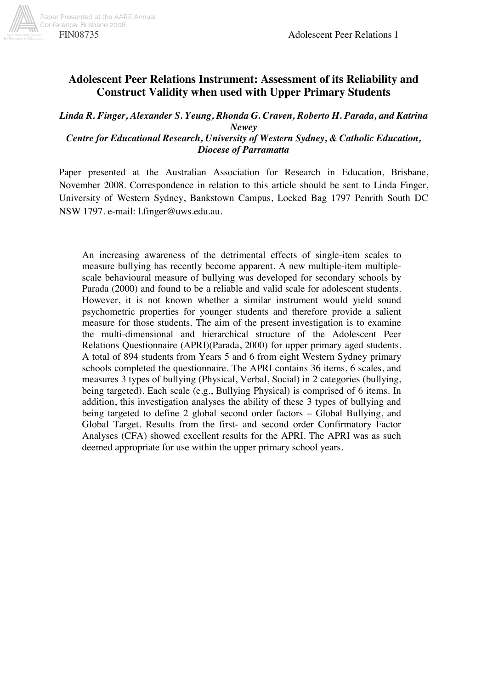

# **Adolescent Peer Relations Instrument: Assessment of its Reliability and Construct Validity when used with Upper Primary Students**

*Linda R. Finger, Alexander S. Yeung, Rhonda G. Craven, Roberto H. Parada, and Katrina Newey* 

*Centre for Educational Research, University of Western Sydney, & Catholic Education, Diocese of Parramatta* 

Paper presented at the Australian Association for Research in Education, Brisbane, November 2008. Correspondence in relation to this article should be sent to Linda Finger, University of Western Sydney, Bankstown Campus, Locked Bag 1797 Penrith South DC NSW 1797. e-mail: l.finger@uws.edu.au.

An increasing awareness of the detrimental effects of single-item scales to measure bullying has recently become apparent. A new multiple-item multiplescale behavioural measure of bullying was developed for secondary schools by Parada (2000) and found to be a reliable and valid scale for adolescent students. However, it is not known whether a similar instrument would yield sound psychometric properties for younger students and therefore provide a salient measure for those students. The aim of the present investigation is to examine the multi-dimensional and hierarchical structure of the Adolescent Peer Relations Questionnaire (APRI)(Parada, 2000) for upper primary aged students. A total of 894 students from Years 5 and 6 from eight Western Sydney primary schools completed the questionnaire. The APRI contains 36 items, 6 scales, and measures 3 types of bullying (Physical, Verbal, Social) in 2 categories (bullying, being targeted). Each scale (e.g., Bullying Physical) is comprised of 6 items. In addition, this investigation analyses the ability of these 3 types of bullying and being targeted to define 2 global second order factors – Global Bullying, and Global Target. Results from the first- and second order Confirmatory Factor Analyses (CFA) showed excellent results for the APRI. The APRI was as such deemed appropriate for use within the upper primary school years.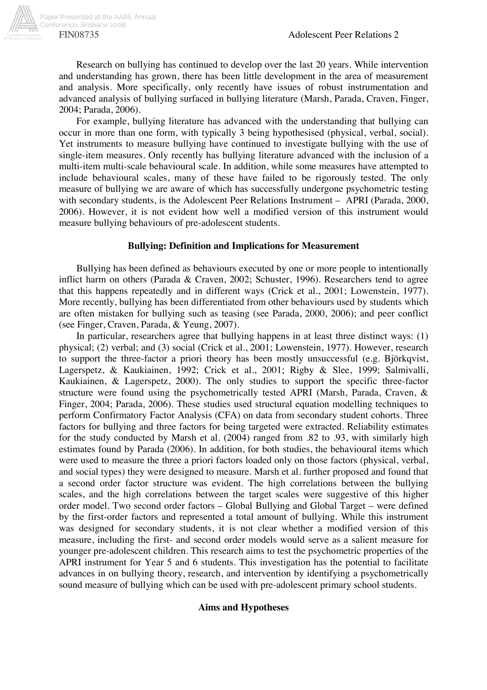

Research on bullying has continued to develop over the last 20 years. While intervention and understanding has grown, there has been little development in the area of measurement and analysis. More specifically, only recently have issues of robust instrumentation and advanced analysis of bullying surfaced in bullying literature (Marsh, Parada, Craven, Finger, 2004; Parada, 2006).

For example, bullying literature has advanced with the understanding that bullying can occur in more than one form, with typically 3 being hypothesised (physical, verbal, social). Yet instruments to measure bullying have continued to investigate bullying with the use of single-item measures. Only recently has bullying literature advanced with the inclusion of a multi-item multi-scale behavioural scale. In addition, while some measures have attempted to include behavioural scales, many of these have failed to be rigorously tested. The only measure of bullying we are aware of which has successfully undergone psychometric testing with secondary students, is the Adolescent Peer Relations Instrument – APRI (Parada, 2000, 2006). However, it is not evident how well a modified version of this instrument would measure bullying behaviours of pre-adolescent students.

# **Bullying: Definition and Implications for Measurement**

Bullying has been defined as behaviours executed by one or more people to intentionally inflict harm on others (Parada & Craven, 2002; Schuster, 1996). Researchers tend to agree that this happens repeatedly and in different ways (Crick et al., 2001; Lowenstein, 1977). More recently, bullying has been differentiated from other behaviours used by students which are often mistaken for bullying such as teasing (see Parada, 2000, 2006); and peer conflict (see Finger, Craven, Parada, & Yeung, 2007).

In particular, researchers agree that bullying happens in at least three distinct ways: (1) physical; (2) verbal; and (3) social (Crick et al., 2001; Lowenstein, 1977). However, research to support the three-factor a priori theory has been mostly unsuccessful (e.g. Björkqvist, Lagerspetz, & Kaukiainen, 1992; Crick et al., 2001; Rigby & Slee, 1999; Salmivalli, Kaukiainen, & Lagerspetz, 2000). The only studies to support the specific three-factor structure were found using the psychometrically tested APRI (Marsh, Parada, Craven, & Finger, 2004; Parada, 2006). These studies used structural equation modelling techniques to perform Confirmatory Factor Analysis (CFA) on data from secondary student cohorts. Three factors for bullying and three factors for being targeted were extracted. Reliability estimates for the study conducted by Marsh et al. (2004) ranged from .82 to .93, with similarly high estimates found by Parada (2006). In addition, for both studies, the behavioural items which were used to measure the three a priori factors loaded only on those factors (physical, verbal, and social types) they were designed to measure. Marsh et al. further proposed and found that a second order factor structure was evident. The high correlations between the bullying scales, and the high correlations between the target scales were suggestive of this higher order model. Two second order factors – Global Bullying and Global Target – were defined by the first-order factors and represented a total amount of bullying. While this instrument was designed for secondary students, it is not clear whether a modified version of this measure, including the first- and second order models would serve as a salient measure for younger pre-adolescent children. This research aims to test the psychometric properties of the APRI instrument for Year 5 and 6 students. This investigation has the potential to facilitate advances in on bullying theory, research, and intervention by identifying a psychometrically sound measure of bullying which can be used with pre-adolescent primary school students.

# **Aims and Hypotheses**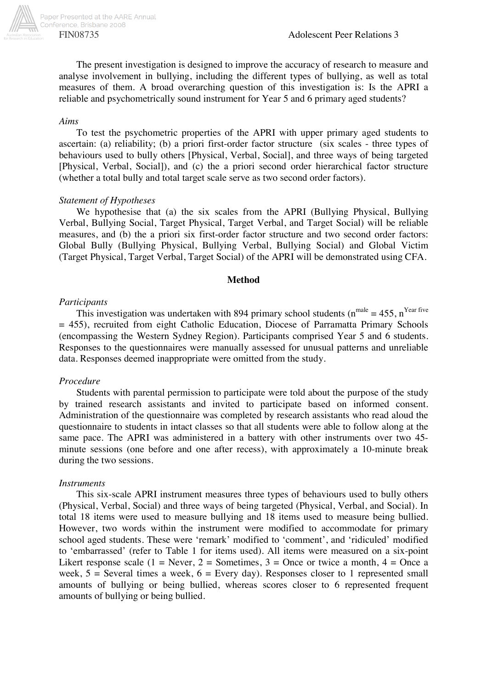

Paper Presented at the AARE Annual Conference, Brisbane 2008

The present investigation is designed to improve the accuracy of research to measure and analyse involvement in bullying, including the different types of bullying, as well as total measures of them. A broad overarching question of this investigation is: Is the APRI a reliable and psychometrically sound instrument for Year 5 and 6 primary aged students?

# *Aims*

To test the psychometric properties of the APRI with upper primary aged students to ascertain: (a) reliability; (b) a priori first-order factor structure (six scales - three types of behaviours used to bully others [Physical, Verbal, Social], and three ways of being targeted [Physical, Verbal, Social]), and (c) the a priori second order hierarchical factor structure (whether a total bully and total target scale serve as two second order factors).

# *Statement of Hypotheses*

We hypothesise that (a) the six scales from the APRI (Bullying Physical, Bullying Verbal, Bullying Social, Target Physical, Target Verbal, and Target Social) will be reliable measures, and (b) the a priori six first-order factor structure and two second order factors: Global Bully (Bullying Physical, Bullying Verbal, Bullying Social) and Global Victim (Target Physical, Target Verbal, Target Social) of the APRI will be demonstrated using CFA.

### **Method**

# *Participants*

This investigation was undertaken with 894 primary school students ( $n<sup>male</sup> = 455$ ,  $n<sup>Year five</sup>$ = 455), recruited from eight Catholic Education, Diocese of Parramatta Primary Schools (encompassing the Western Sydney Region). Participants comprised Year 5 and 6 students. Responses to the questionnaires were manually assessed for unusual patterns and unreliable data. Responses deemed inappropriate were omitted from the study.

# *Procedure*

Students with parental permission to participate were told about the purpose of the study by trained research assistants and invited to participate based on informed consent. Administration of the questionnaire was completed by research assistants who read aloud the questionnaire to students in intact classes so that all students were able to follow along at the same pace. The APRI was administered in a battery with other instruments over two 45 minute sessions (one before and one after recess), with approximately a 10-minute break during the two sessions.

#### *Instruments*

This six-scale APRI instrument measures three types of behaviours used to bully others (Physical, Verbal, Social) and three ways of being targeted (Physical, Verbal, and Social). In total 18 items were used to measure bullying and 18 items used to measure being bullied. However, two words within the instrument were modified to accommodate for primary school aged students. These were 'remark' modified to 'comment', and 'ridiculed' modified to 'embarrassed' (refer to Table 1 for items used). All items were measured on a six-point Likert response scale (1 = Never, 2 = Sometimes, 3 = Once or twice a month, 4 = Once a week,  $5 =$  Several times a week,  $6 =$  Every day). Responses closer to 1 represented small amounts of bullying or being bullied, whereas scores closer to 6 represented frequent amounts of bullying or being bullied.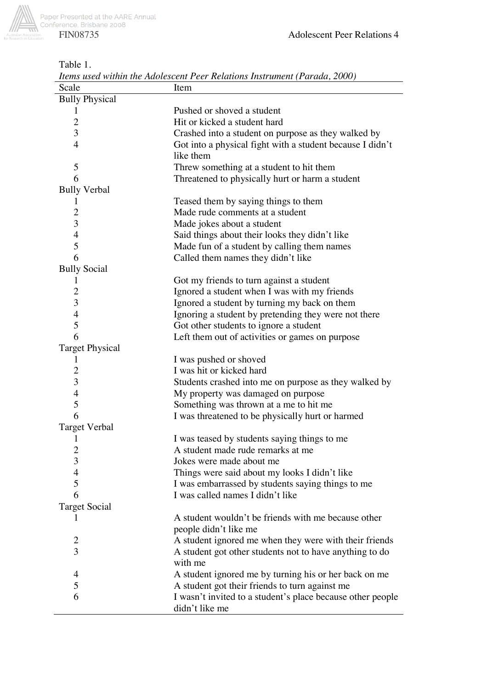

Table 1.

| Scale                  | Item                                                       |
|------------------------|------------------------------------------------------------|
| <b>Bully Physical</b>  |                                                            |
| $\perp$                | Pushed or shoved a student                                 |
| $\overline{2}$         | Hit or kicked a student hard                               |
| 3                      | Crashed into a student on purpose as they walked by        |
| $\overline{4}$         | Got into a physical fight with a student because I didn't  |
|                        | like them                                                  |
| 5                      | Threw something at a student to hit them                   |
| 6                      | Threatened to physically hurt or harm a student            |
| <b>Bully Verbal</b>    |                                                            |
| 1                      | Teased them by saying things to them                       |
| 2                      | Made rude comments at a student                            |
| 3                      | Made jokes about a student                                 |
| $\overline{4}$         | Said things about their looks they didn't like             |
| 5                      | Made fun of a student by calling them names                |
| 6                      | Called them names they didn't like                         |
| <b>Bully Social</b>    |                                                            |
| 1                      | Got my friends to turn against a student                   |
| 2                      | Ignored a student when I was with my friends               |
| 3                      | Ignored a student by turning my back on them               |
| $\overline{4}$         | Ignoring a student by pretending they were not there       |
| 5                      | Got other students to ignore a student                     |
| 6                      | Left them out of activities or games on purpose            |
| <b>Target Physical</b> |                                                            |
| 1                      | I was pushed or shoved                                     |
| $\overline{2}$         | I was hit or kicked hard                                   |
| 3                      | Students crashed into me on purpose as they walked by      |
| $\overline{4}$         | My property was damaged on purpose                         |
| 5                      | Something was thrown at a me to hit me                     |
| 6                      | I was threatened to be physically hurt or harmed           |
| <b>Target Verbal</b>   |                                                            |
| 1                      | I was teased by students saying things to me               |
| 2                      | A student made rude remarks at me                          |
| 3                      | Jokes were made about me                                   |
| 4                      | Things were said about my looks I didn't like              |
| 5                      | I was embarrassed by students saying things to me          |
| 6                      | I was called names I didn't like                           |
| <b>Target Social</b>   |                                                            |
|                        | A student wouldn't be friends with me because other        |
|                        |                                                            |
|                        | people didn't like me                                      |
| 2<br>3                 | A student ignored me when they were with their friends     |
|                        | A student got other students not to have anything to do    |
|                        | with me                                                    |
| 4                      | A student ignored me by turning his or her back on me      |
| 5                      | A student got their friends to turn against me             |
| 6                      | I wasn't invited to a student's place because other people |
|                        | didn't like me                                             |

*Items used within the Adolescent Peer Relations Instrument (Parada, 2000)*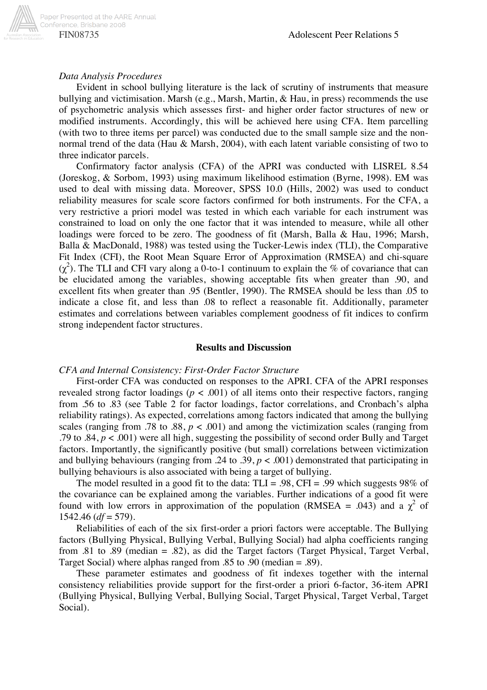

### *Data Analysis Procedures*

Evident in school bullying literature is the lack of scrutiny of instruments that measure bullying and victimisation. Marsh (e.g., Marsh, Martin, & Hau, in press) recommends the use of psychometric analysis which assesses first- and higher order factor structures of new or modified instruments. Accordingly, this will be achieved here using CFA. Item parcelling (with two to three items per parcel) was conducted due to the small sample size and the nonnormal trend of the data (Hau & Marsh, 2004), with each latent variable consisting of two to three indicator parcels.

Confirmatory factor analysis (CFA) of the APRI was conducted with LISREL 8.54 (Joreskog, & Sorbom, 1993) using maximum likelihood estimation (Byrne, 1998). EM was used to deal with missing data. Moreover, SPSS 10.0 (Hills, 2002) was used to conduct reliability measures for scale score factors confirmed for both instruments. For the CFA, a very restrictive a priori model was tested in which each variable for each instrument was constrained to load on only the one factor that it was intended to measure, while all other loadings were forced to be zero. The goodness of fit (Marsh, Balla & Hau, 1996; Marsh, Balla & MacDonald, 1988) was tested using the Tucker-Lewis index (TLI), the Comparative Fit Index (CFI), the Root Mean Square Error of Approximation (RMSEA) and chi-square  $(χ<sup>2</sup>)$ . The TLI and CFI vary along a 0-to-1 continuum to explain the % of covariance that can be elucidated among the variables, showing acceptable fits when greater than .90, and excellent fits when greater than .95 (Bentler, 1990). The RMSEA should be less than .05 to indicate a close fit, and less than .08 to reflect a reasonable fit. Additionally, parameter estimates and correlations between variables complement goodness of fit indices to confirm strong independent factor structures.

#### **Results and Discussion**

#### *CFA and Internal Consistency: First-Order Factor Structure*

First-order CFA was conducted on responses to the APRI. CFA of the APRI responses revealed strong factor loadings ( $p < .001$ ) of all items onto their respective factors, ranging from .56 to .83 (see Table 2 for factor loadings, factor correlations, and Cronbach's alpha reliability ratings). As expected, correlations among factors indicated that among the bullying scales (ranging from .78 to .88,  $p < .001$ ) and among the victimization scales (ranging from .79 to .84,  $p < .001$ ) were all high, suggesting the possibility of second order Bully and Target factors. Importantly, the significantly positive (but small) correlations between victimization and bullying behaviours (ranging from .24 to .39,  $p < .001$ ) demonstrated that participating in bullying behaviours is also associated with being a target of bullying.

The model resulted in a good fit to the data:  $TLI = .98$ ,  $CFI = .99$  which suggests 98% of the covariance can be explained among the variables. Further indications of a good fit were found with low errors in approximation of the population (RMSEA = .043) and a  $\chi^2$  of 1542.46 (*df* = 579).

Reliabilities of each of the six first-order a priori factors were acceptable. The Bullying factors (Bullying Physical, Bullying Verbal, Bullying Social) had alpha coefficients ranging from .81 to .89 (median = .82), as did the Target factors (Target Physical, Target Verbal, Target Social) where alphas ranged from .85 to .90 (median = .89).

These parameter estimates and goodness of fit indexes together with the internal consistency reliabilities provide support for the first-order a priori 6-factor, 36-item APRI (Bullying Physical, Bullying Verbal, Bullying Social, Target Physical, Target Verbal, Target Social).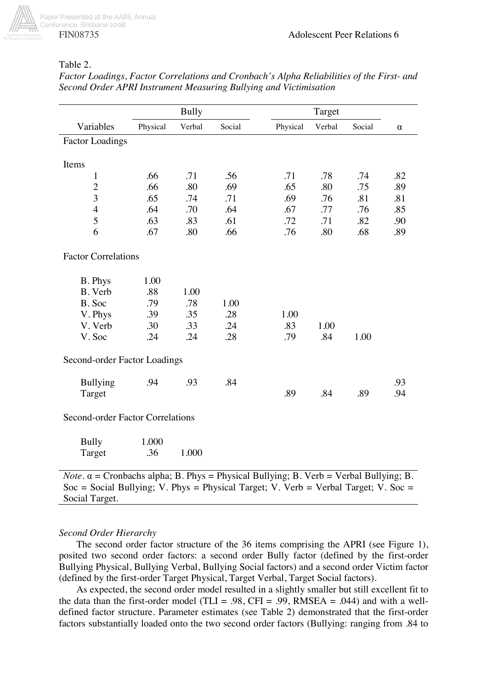

# Table 2.

|                                                                                                      | <b>Bully</b> |        |        | Target   |        |        |          |  |
|------------------------------------------------------------------------------------------------------|--------------|--------|--------|----------|--------|--------|----------|--|
| Variables                                                                                            | Physical     | Verbal | Social | Physical | Verbal | Social | $\alpha$ |  |
| <b>Factor Loadings</b>                                                                               |              |        |        |          |        |        |          |  |
|                                                                                                      |              |        |        |          |        |        |          |  |
| Items                                                                                                |              |        |        |          |        |        |          |  |
| $\mathbf{1}$                                                                                         | .66          | .71    | .56    | .71      | .78    | .74    | .82      |  |
| $\overline{c}$                                                                                       | .66          | .80    | .69    | .65      | .80    | .75    | .89      |  |
| $\overline{3}$                                                                                       | .65          | .74    | .71    | .69      | .76    | .81    | .81      |  |
| $\overline{4}$                                                                                       | .64          | .70    | .64    | .67      | .77    | .76    | .85      |  |
| 5                                                                                                    | .63          | .83    | .61    | .72      | .71    | .82    | .90      |  |
| 6                                                                                                    | .67          | .80    | .66    | .76      | .80    | .68    | .89      |  |
| <b>Factor Correlations</b>                                                                           |              |        |        |          |        |        |          |  |
| B. Phys                                                                                              | 1.00         |        |        |          |        |        |          |  |
| B. Verb                                                                                              | .88          | 1.00   |        |          |        |        |          |  |
| B. Soc                                                                                               | .79          | .78    | 1.00   |          |        |        |          |  |
| V. Phys                                                                                              | .39          | .35    | .28    | 1.00     |        |        |          |  |
| V. Verb                                                                                              | .30          | .33    | .24    | .83      | 1.00   |        |          |  |
| V. Soc                                                                                               | .24          | .24    | .28    | .79      | .84    | 1.00   |          |  |
| Second-order Factor Loadings                                                                         |              |        |        |          |        |        |          |  |
| <b>Bullying</b>                                                                                      | .94          | .93    | .84    |          |        |        | .93      |  |
| Target                                                                                               |              |        |        | .89      | .84    | .89    | .94      |  |
| Second-order Factor Correlations                                                                     |              |        |        |          |        |        |          |  |
| <b>Bully</b>                                                                                         | 1.000        |        |        |          |        |        |          |  |
| Target                                                                                               | .36          | 1.000  |        |          |        |        |          |  |
| <i>Note</i> . $\alpha$ = Cronbachs alpha; B. Phys = Physical Bullying; B. Verb = Verbal Bullying; B. |              |        |        |          |        |        |          |  |

*Factor Loadings, Factor Correlations and Cronbach's Alpha Reliabilities of the First- and Second Order APRI Instrument Measuring Bullying and Victimisation* 

Soc = Social Bullying; V. Phys = Physical Target; V. Verb = Verbal Target; V. Soc = Social Target.

# *Second Order Hierarchy*

The second order factor structure of the 36 items comprising the APRI (see Figure 1), posited two second order factors: a second order Bully factor (defined by the first-order Bullying Physical, Bullying Verbal, Bullying Social factors) and a second order Victim factor (defined by the first-order Target Physical, Target Verbal, Target Social factors).

As expected, the second order model resulted in a slightly smaller but still excellent fit to the data than the first-order model (TLI = .98, CFI = .99, RMSEA = .044) and with a welldefined factor structure. Parameter estimates (see Table 2) demonstrated that the first-order factors substantially loaded onto the two second order factors (Bullying: ranging from .84 to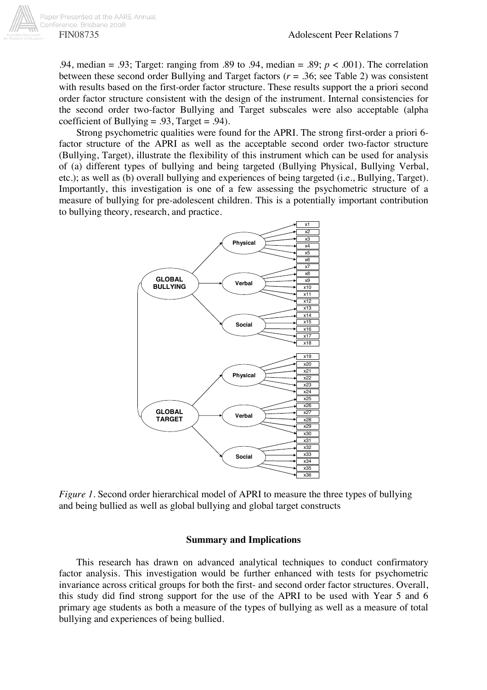.94, median = .93; Target: ranging from .89 to .94, median = .89; *p* < .001). The correlation between these second order Bullying and Target factors (*r* = .36; see Table 2) was consistent with results based on the first-order factor structure. These results support the a priori second order factor structure consistent with the design of the instrument. Internal consistencies for the second order two-factor Bullying and Target subscales were also acceptable (alpha coefficient of Bullying = .93, Target = .94).

Strong psychometric qualities were found for the APRI. The strong first-order a priori 6 factor structure of the APRI as well as the acceptable second order two-factor structure (Bullying, Target), illustrate the flexibility of this instrument which can be used for analysis of (a) different types of bullying and being targeted (Bullying Physical, Bullying Verbal, etc.); as well as (b) overall bullying and experiences of being targeted (i.e., Bullying, Target). Importantly, this investigation is one of a few assessing the psychometric structure of a measure of bullying for pre-adolescent children. This is a potentially important contribution to bullying theory, research, and practice.



*Figure 1.* Second order hierarchical model of APRI to measure the three types of bullying and being bullied as well as global bullying and global target constructs

# **Summary and Implications**

This research has drawn on advanced analytical techniques to conduct confirmatory factor analysis. This investigation would be further enhanced with tests for psychometric invariance across critical groups for both the first- and second order factor structures. Overall, this study did find strong support for the use of the APRI to be used with Year 5 and 6 primary age students as both a measure of the types of bullying as well as a measure of total bullying and experiences of being bullied.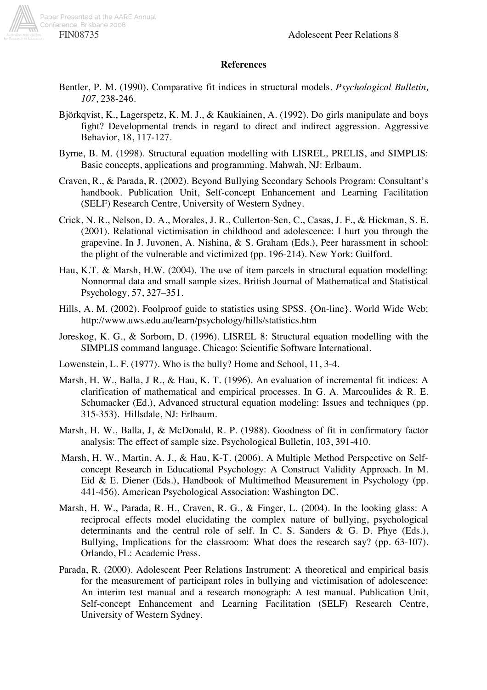

# **References**

- Bentler, P. M. (1990). Comparative fit indices in structural models. *Psychological Bulletin, 107*, 238-246.
- Björkqvist, K., Lagerspetz, K. M. J., & Kaukiainen, A. (1992). Do girls manipulate and boys fight? Developmental trends in regard to direct and indirect aggression. Aggressive Behavior, 18, 117-127.
- Byrne, B. M. (1998). Structural equation modelling with LISREL, PRELIS, and SIMPLIS: Basic concepts, applications and programming. Mahwah, NJ: Erlbaum.
- Craven, R., & Parada, R. (2002). Beyond Bullying Secondary Schools Program: Consultant's handbook. Publication Unit, Self-concept Enhancement and Learning Facilitation (SELF) Research Centre, University of Western Sydney.
- Crick, N. R., Nelson, D. A., Morales, J. R., Cullerton-Sen, C., Casas, J. F., & Hickman, S. E. (2001). Relational victimisation in childhood and adolescence: I hurt you through the grapevine. In J. Juvonen, A. Nishina, & S. Graham (Eds.), Peer harassment in school: the plight of the vulnerable and victimized (pp. 196-214). New York: Guilford.
- Hau, K.T. & Marsh, H.W. (2004). The use of item parcels in structural equation modelling: Nonnormal data and small sample sizes. British Journal of Mathematical and Statistical Psychology, 57, 327–351.
- Hills, A. M. (2002). Foolproof guide to statistics using SPSS. {On-line}. World Wide Web: http://www.uws.edu.au/learn/psychology/hills/statistics.htm
- Joreskog, K. G., & Sorbom, D. (1996). LISREL 8: Structural equation modelling with the SIMPLIS command language. Chicago: Scientific Software International.
- Lowenstein, L. F. (1977). Who is the bully? Home and School, 11, 3-4.
- Marsh, H. W., Balla, J R., & Hau, K. T. (1996). An evaluation of incremental fit indices: A clarification of mathematical and empirical processes. In G. A. Marcoulides & R. E. Schumacker (Ed.), Advanced structural equation modeling: Issues and techniques (pp. 315-353). Hillsdale, NJ: Erlbaum.
- Marsh, H. W., Balla, J, & McDonald, R. P. (1988). Goodness of fit in confirmatory factor analysis: The effect of sample size. Psychological Bulletin, 103, 391-410.
- Marsh, H. W., Martin, A. J., & Hau, K-T. (2006). A Multiple Method Perspective on Selfconcept Research in Educational Psychology: A Construct Validity Approach. In M. Eid & E. Diener (Eds.), Handbook of Multimethod Measurement in Psychology (pp. 441-456). American Psychological Association: Washington DC.
- Marsh, H. W., Parada, R. H., Craven, R. G., & Finger, L. (2004). In the looking glass: A reciprocal effects model elucidating the complex nature of bullying, psychological determinants and the central role of self. In C. S. Sanders & G. D. Phye (Eds.), Bullying, Implications for the classroom: What does the research say? (pp. 63-107). Orlando, FL: Academic Press.
- Parada, R. (2000). Adolescent Peer Relations Instrument: A theoretical and empirical basis for the measurement of participant roles in bullying and victimisation of adolescence: An interim test manual and a research monograph: A test manual. Publication Unit, Self-concept Enhancement and Learning Facilitation (SELF) Research Centre, University of Western Sydney.